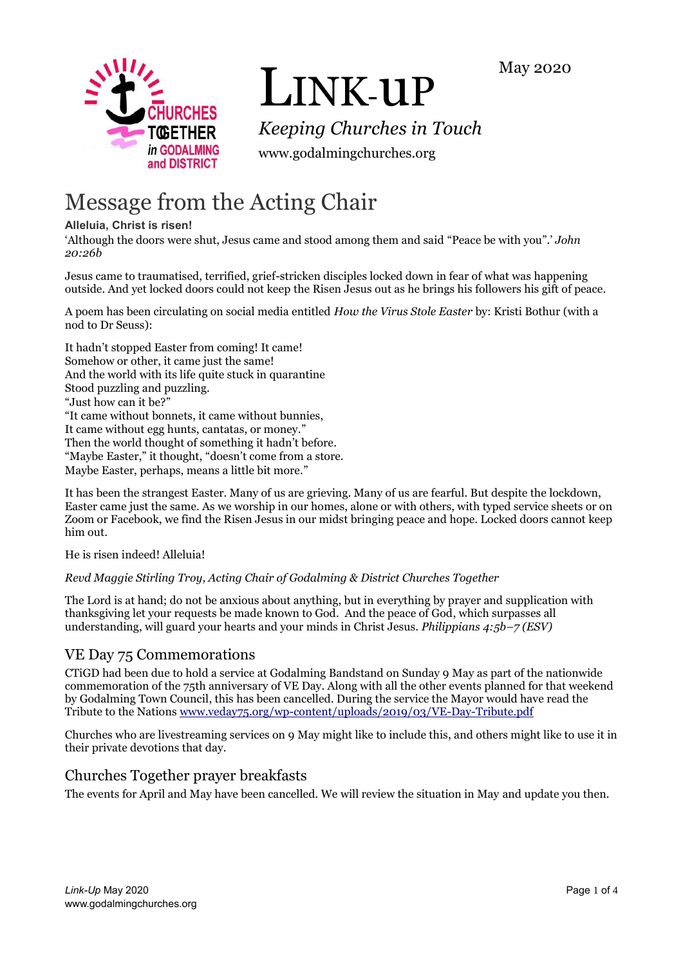



# LINK-uP

*Keeping Churches in Touch*

www.godalmingchurches.org

# Message from the Acting Chair

#### **Alleluia, Christ is risen!**

'Although the doors were shut, Jesus came and stood among them and said "Peace be with you".' *John 20:26b*

Jesus came to traumatised, terrified, grief-stricken disciples locked down in fear of what was happening outside. And yet locked doors could not keep the Risen Jesus out as he brings his followers his gift of peace.

A poem has been circulating on social media entitled *How the Virus Stole Easter* by: Kristi Bothur (with a nod to Dr Seuss):

It hadn't stopped Easter from coming! It came! Somehow or other, it came just the same! And the world with its life quite stuck in quarantine Stood puzzling and puzzling. "Just how can it be?" "It came without bonnets, it came without bunnies, It came without egg hunts, cantatas, or money." Then the world thought of something it hadn't before. "Maybe Easter," it thought, "doesn't come from a store. Maybe Easter, perhaps, means a little bit more."

It has been the strangest Easter. Many of us are grieving. Many of us are fearful. But despite the lockdown, Easter came just the same. As we worship in our homes, alone or with others, with typed service sheets or on Zoom or Facebook, we find the Risen Jesus in our midst bringing peace and hope. Locked doors cannot keep him out.

He is risen indeed! Alleluia!

*Revd Maggie Stirling Troy, Acting Chair of Godalming & District Churches Together*

The Lord is at hand; do not be anxious about anything, but in everything by prayer and supplication with thanksgiving let your requests be made known to God. And the peace of God, which surpasses all understanding, will guard your hearts and your minds in Christ Jesus. *Philippians 4:5b–7 (ESV)*

# VE Day 75 Commemorations

CTiGD had been due to hold a service at Godalming Bandstand on Sunday 9 May as part of the nationwide commemoration of the 75th anniversary of VE Day. Along with all the other events planned for that weekend by Godalming Town Council, this has been cancelled. During the service the Mayor would have read the Tribute to the Nations [www.veday75.org/wp-content/uploads/2019/03/VE-Day-Tribute.pdf](https://www.veday75.org/wp-content/uploads/2019/03/VE-Day-Tribute.pdf)

Churches who are livestreaming services on 9 May might like to include this, and others might like to use it in their private devotions that day.

# Churches Together prayer breakfasts

The events for April and May have been cancelled. We will review the situation in May and update you then.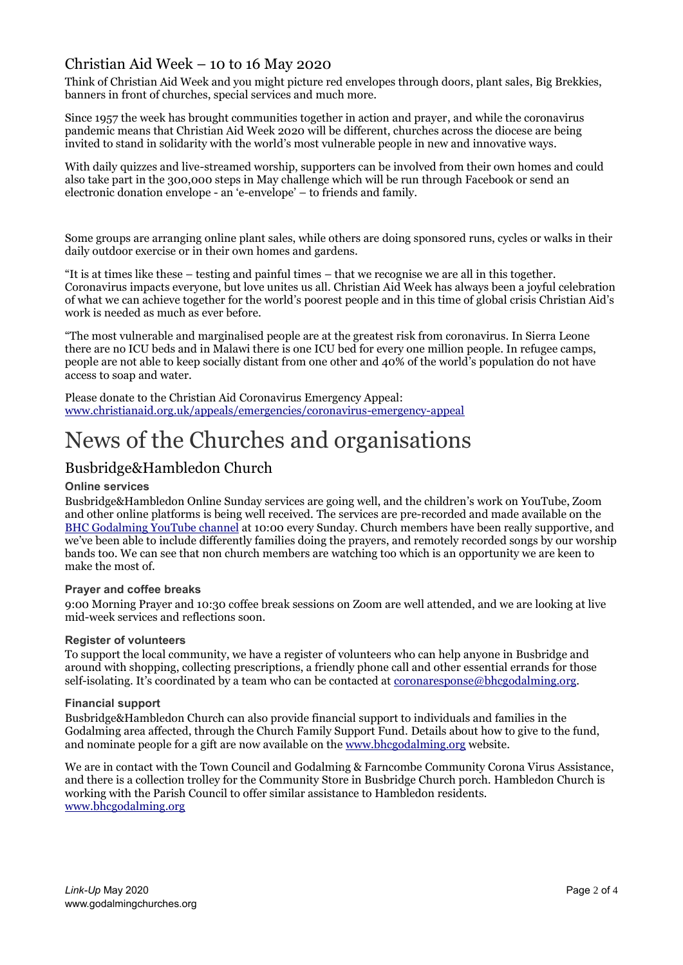# Christian Aid Week – 10 to 16 May 2020

Think of Christian Aid Week and you might picture red envelopes through doors, plant sales, Big Brekkies, banners in front of churches, special services and much more.

Since 1957 the week has brought communities together in action and prayer, and while the coronavirus pandemic means that Christian Aid Week 2020 will be different, churches across the diocese are being invited to stand in solidarity with the world's most vulnerable people in new and innovative ways.

With daily quizzes and live-streamed worship, supporters can be involved from their own homes and could also take part in the 300,000 steps in May challenge which will be run through Facebook or send an electronic donation envelope - an 'e-envelope' – to friends and family.

Some groups are arranging online plant sales, while others are doing sponsored runs, cycles or walks in their daily outdoor exercise or in their own homes and gardens.

"It is at times like these – testing and painful times – that we recognise we are all in this together. Coronavirus impacts everyone, but love unites us all. Christian Aid Week has always been a joyful celebration of what we can achieve together for the world's poorest people and in this time of global crisis Christian Aid's work is needed as much as ever before.

"The most vulnerable and marginalised people are at the greatest risk from coronavirus. In Sierra Leone there are no ICU beds and in Malawi there is one ICU bed for every one million people. In refugee camps, people are not able to keep socially distant from one other and 40% of the world's population do not have access to soap and water.

Please donate to the Christian Aid Coronavirus Emergency Appeal: [www.christianaid.org.uk/appeals/emergencies/coronavirus-emergency-appeal](https://www.christianaid.org.uk/appeals/emergencies/coronavirus-emergency-appeal)

# News of the Churches and organisations

# Busbridge&Hambledon Church

#### **Online services**

Busbridge&Hambledon Online Sunday services are going well, and the children's work on YouTube, Zoom and other online platforms is being well received. The services are pre-recorded and made available on the [BHC Godalming YouTube channel](https://www.youtube.com/channel/UCWua9wgZGOSAIOK8xTj1FPg) at 10:00 every Sunday. Church members have been really supportive, and we've been able to include differently families doing the prayers, and remotely recorded songs by our worship bands too. We can see that non church members are watching too which is an opportunity we are keen to make the most of.

#### **Prayer and coffee breaks**

9:00 Morning Prayer and 10:30 coffee break sessions on Zoom are well attended, and we are looking at live mid-week services and reflections soon.

#### **Register of volunteers**

To support the local community, we have a register of volunteers who can help anyone in Busbridge and around with shopping, collecting prescriptions, a friendly phone call and other essential errands for those self-isolating. It's coordinated by a team who can be contacted at <u>coronaresponse@bhcgodalming.org</u>.

#### **Financial support**

Busbridge&Hambledon Church can also provide financial support to individuals and families in the Godalming area affected, through the Church Family Support Fund. Details about how to give to the fund, and nominate people for a gift are now available on the [www.bhcgodalming.org](https://www.bhcgodalming.org/) website.

We are in contact with the Town Council and Godalming & Farncombe Community Corona Virus Assistance, and there is a collection trolley for the Community Store in Busbridge Church porch. Hambledon Church is working with the Parish Council to offer similar assistance to Hambledon residents. [www.bhcgodalming.org](https://www.bhcgodalming.org/)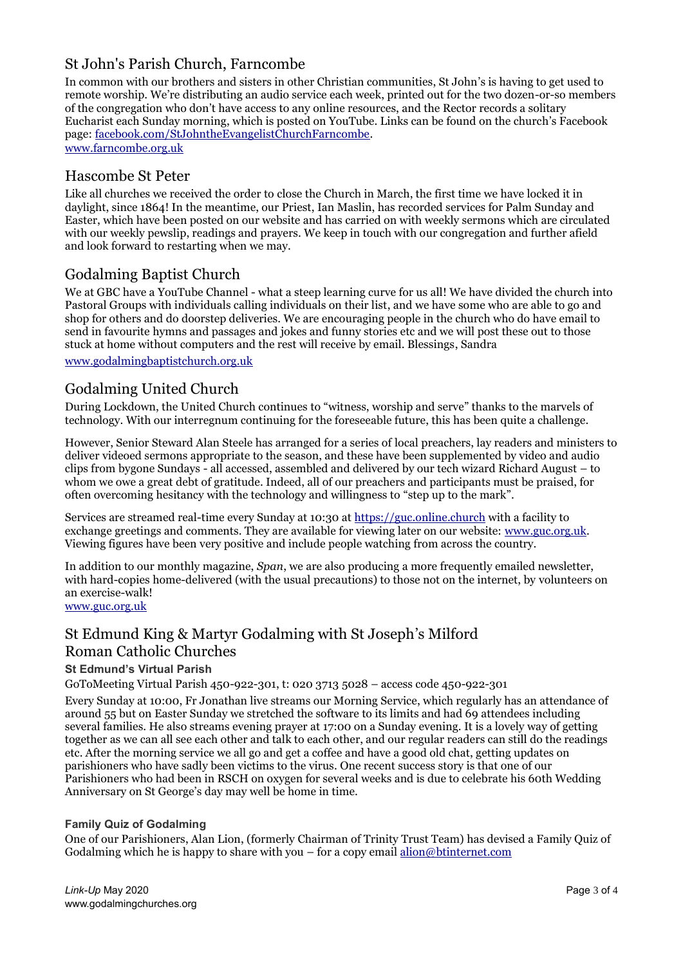# St John's Parish Church, Farncombe

In common with our brothers and sisters in other Christian communities, St John's is having to get used to remote worship. We're distributing an audio service each week, printed out for the two dozen-or-so members of the congregation who don't have access to any online resources, and the Rector records a solitary Eucharist each Sunday morning, which is posted on YouTube. Links can be found on the church's Facebook page: [facebook.com/StJohntheEvangelistChurchFarncombe.](https://facebook.com/StJohntheEvangelistChurchFarncombe) [www.farncombe.org.uk](http://www.farncombe.org.uk/)

Hascombe St Peter

Like all churches we received the order to close the Church in March, the first time we have locked it in daylight, since 1864! In the meantime, our Priest, Ian Maslin, has recorded services for Palm Sunday and Easter, which have been posted on our website and has carried on with weekly sermons which are circulated with our weekly pewslip, readings and prayers. We keep in touch with our congregation and further afield and look forward to restarting when we may.

## Godalming Baptist Church

We at GBC have a YouTube Channel - what a steep learning curve for us all! We have divided the church into Pastoral Groups with individuals calling individuals on their list, and we have some who are able to go and shop for others and do doorstep deliveries. We are encouraging people in the church who do have email to send in favourite hymns and passages and jokes and funny stories etc and we will post these out to those stuck at home without computers and the rest will receive by email. Blessings, Sandra

[www.godalmingbaptistchurch.org.uk](http://www.godalmingbaptistchurch.org.uk/)

#### Godalming United Church

During Lockdown, the United Church continues to "witness, worship and serve" thanks to the marvels of technology. With our interregnum continuing for the foreseeable future, this has been quite a challenge.

However, Senior Steward Alan Steele has arranged for a series of local preachers, lay readers and ministers to deliver videoed sermons appropriate to the season, and these have been supplemented by video and audio clips from bygone Sundays - all accessed, assembled and delivered by our tech wizard Richard August – to whom we owe a great debt of gratitude. Indeed, all of our preachers and participants must be praised, for often overcoming hesitancy with the technology and willingness to "step up to the mark".

Services are streamed real-time every Sunday at 10:30 at [https://guc.online.church](https://guc.online.church/) with a facility to exchange greetings and comments. They are available for viewing later on our website: [www.guc.org.uk.](https://www.guc.org.uk/) Viewing figures have been very positive and include people watching from across the country.

In addition to our monthly magazine, *Span*, we are also producing a more frequently emailed newsletter, with hard-copies home-delivered (with the usual precautions) to those not on the internet, by volunteers on an exercise-walk! [www.guc.org.uk](http://www.guc.org.uk/)

### St Edmund King & Martyr Godalming with St Joseph's Milford Roman Catholic Churches

#### **St Edmund's Virtual Parish**

GoToMeeting Virtual Parish 450-922-301, t: 020 3713 5028 – access code 450-922-301

Every Sunday at 10:00, Fr Jonathan live streams our Morning Service, which regularly has an attendance of around 55 but on Easter Sunday we stretched the software to its limits and had 69 attendees including several families. He also streams evening prayer at 17:00 on a Sunday evening. It is a lovely way of getting together as we can all see each other and talk to each other, and our regular readers can still do the readings etc. After the morning service we all go and get a coffee and have a good old chat, getting updates on parishioners who have sadly been victims to the virus. One recent success story is that one of our Parishioners who had been in RSCH on oxygen for several weeks and is due to celebrate his 60th Wedding Anniversary on St George's day may well be home in time.

#### **Family Quiz of Godalming**

One of our Parishioners, Alan Lion, (formerly Chairman of Trinity Trust Team) has devised a Family Quiz of Godalming which he is happy to share with you – for a copy email [alion@btinternet.com](mailto:alion@btinternet.com)